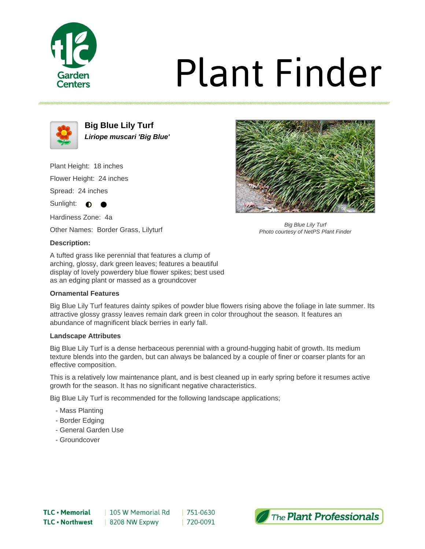

# **Plant Finder**



**Big Blue Lily Turf Liriope muscari 'Big Blue'**

Plant Height: 18 inches Flower Height: 24 inches Spread: 24 inches

Sunlight: **O** 

Hardiness Zone: 4a

Other Names: Border Grass, Lilyturf

## **Description:**

A tufted grass like perennial that features a clump of arching, glossy, dark green leaves; features a beautiful display of lovely powerdery blue flower spikes; best used as an edging plant or massed as a groundcover

# **Ornamental Features**

Big Blue Lily Turf features dainty spikes of powder blue flowers rising above the foliage in late summer. Its attractive glossy grassy leaves remain dark green in color throughout the season. It features an abundance of magnificent black berries in early fall.

#### **Landscape Attributes**

Big Blue Lily Turf is a dense herbaceous perennial with a ground-hugging habit of growth. Its medium texture blends into the garden, but can always be balanced by a couple of finer or coarser plants for an effective composition.

This is a relatively low maintenance plant, and is best cleaned up in early spring before it resumes active growth for the season. It has no significant negative characteristics.

Big Blue Lily Turf is recommended for the following landscape applications;

- Mass Planting
- Border Edging
- General Garden Use
- Groundcover



Big Blue Lily Turf Photo courtesy of NetPS Plant Finder